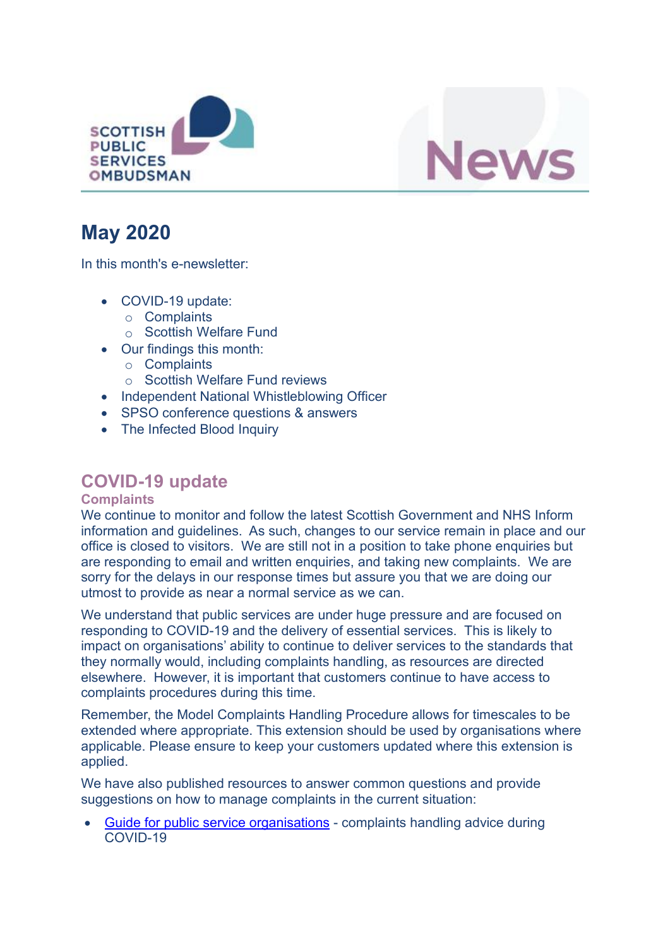



# **May 2020**

In this month's e-newsletter:

- COVID-19 update:
	- o Complaints
	- o Scottish Welfare Fund
- Our findings this month:
	- o Complaints
	- o Scottish Welfare Fund reviews
- Independent National Whistleblowing Officer
- SPSO conference questions & answers
- The Infected Blood Inquiry

## **COVID-19 update**

#### **Complaints**

We continue to monitor and follow the latest Scottish Government and NHS Inform information and guidelines. As such, changes to our service remain in place and our office is closed to visitors. We are still not in a position to take phone enquiries but are responding to email and written enquiries, and taking new complaints. We are sorry for the delays in our response times but assure you that we are doing our utmost to provide as near a normal service as we can.

We understand that public services are under huge pressure and are focused on responding to COVID-19 and the delivery of essential services. This is likely to impact on organisations' ability to continue to deliver services to the standards that they normally would, including complaints handling, as resources are directed elsewhere. However, it is important that customers continue to have access to complaints procedures during this time.

Remember, the Model Complaints Handling Procedure allows for timescales to be extended where appropriate. This extension should be used by organisations where applicable. Please ensure to keep your customers updated where this extension is applied.

We have also published resources to answer common questions and provide suggestions on how to manage complaints in the current situation:

 Guide for public service [organisations](https://www.spso.org.uk/sites/spso/files/csa/COVID19%20complaint%20handling%20guidance%20for%20organisations.pdf) - complaints handling advice during COVID-19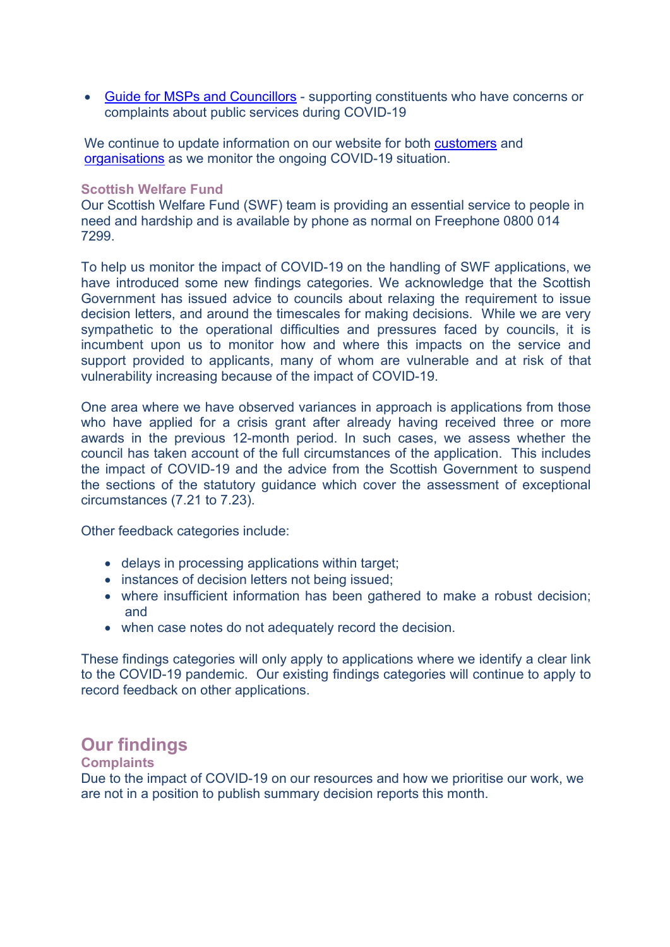Guide for MSPs and [Councillors](https://www.spso.org.uk/sites/spso/files/csa/200403%20COVID19%20guide%20for%20MSPs%20and%20councillors.pdf) - supporting constituents who have concerns or complaints about public services during COVID-19

We continue to update information on our website for both [customers](https://www.spso.org.uk/covid-19-update-for-customers) and [organisations](https://www.spso.org.uk/covid-19-update-for-public-service-organisations) as we monitor the ongoing COVID-19 situation.

#### **Scottish Welfare Fund**

Our Scottish Welfare Fund (SWF) team is providing an essential service to people in need and hardship and is available by phone as normal on Freephone 0800 014 7299.

To help us monitor the impact of COVID-19 on the handling of SWF applications, we have introduced some new findings categories. We acknowledge that the Scottish Government has issued advice to councils about relaxing the requirement to issue decision letters, and around the timescales for making decisions. While we are very sympathetic to the operational difficulties and pressures faced by councils, it is incumbent upon us to monitor how and where this impacts on the service and support provided to applicants, many of whom are vulnerable and at risk of that vulnerability increasing because of the impact of COVID-19.

One area where we have observed variances in approach is applications from those who have applied for a crisis grant after already having received three or more awards in the previous 12-month period. In such cases, we assess whether the council has taken account of the full circumstances of the application. This includes the impact of COVID-19 and the advice from the Scottish Government to suspend the sections of the statutory guidance which cover the assessment of exceptional circumstances (7.21 to 7.23).

Other feedback categories include:

- delays in processing applications within target;
- instances of decision letters not being issued;
- where insufficient information has been gathered to make a robust decision; and
- when case notes do not adequately record the decision.

These findings categories will only apply to applications where we identify a clear link to the COVID-19 pandemic. Our existing findings categories will continue to apply to record feedback on other applications.

### **Our findings**

#### **Complaints**

Due to the impact of COVID-19 on our resources and how we prioritise our work, we are not in a position to publish summary decision reports this month.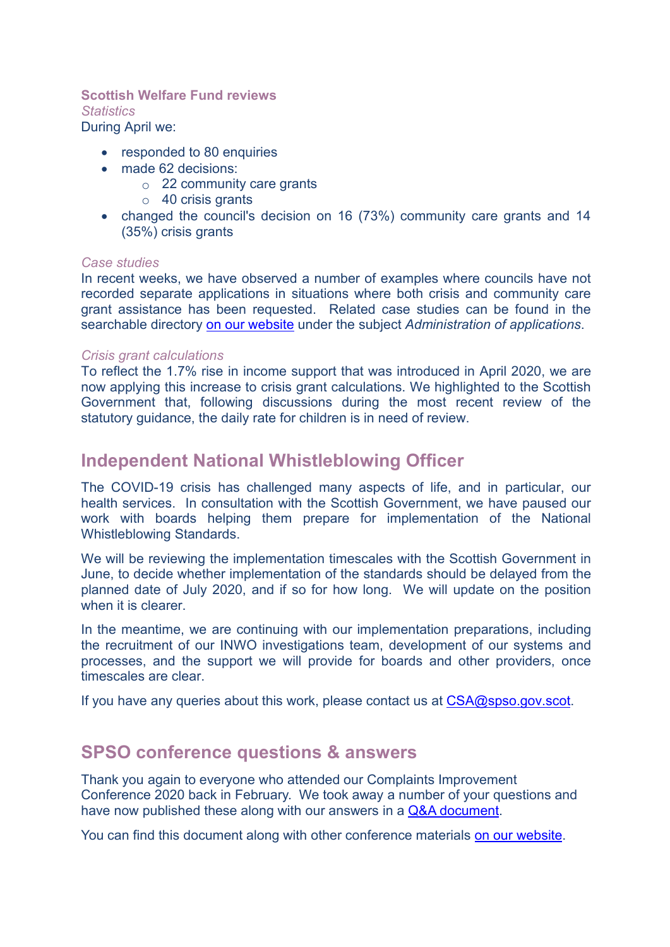#### **Scottish Welfare Fund reviews** *Statistics*

During April we:

- responded to 80 enquiries
- made 62 decisions:
	- o 22 community care grants
	- $\circ$  40 crisis grants
- changed the council's decision on 16 (73%) community care grants and 14 (35%) crisis grants

#### *Case studies*

In recent weeks, we have observed a number of examples where councils have not recorded separate applications in situations where both crisis and community care grant assistance has been requested. Related case studies can be found in the searchable directory on our [website](https://www.spso.org.uk/scottishwelfarefund/case-summaries) under the subject *Administration of applications*.

#### *Crisis grant calculations*

To reflect the 1.7% rise in income support that was introduced in April 2020, we are now applying this increase to crisis grant calculations. We highlighted to the Scottish Government that, following discussions during the most recent review of the statutory guidance, the daily rate for children is in need of review.

### **Independent National Whistleblowing Officer**

The COVID-19 crisis has challenged many aspects of life, and in particular, our health services. In consultation with the Scottish Government, we have paused our work with boards helping them prepare for implementation of the National Whistleblowing Standards.

We will be reviewing the implementation timescales with the Scottish Government in June, to decide whether implementation of the standards should be delayed from the planned date of July 2020, and if so for how long. We will update on the position when it is clearer.

In the meantime, we are continuing with our implementation preparations, including the recruitment of our INWO investigations team, development of our systems and processes, and the support we will provide for boards and other providers, once timescales are clear.

If you have any queries about this work, please contact us at  $CSA@spso.gov.scot.$  $CSA@spso.gov.scot.$ 

### **SPSO conference questions & answers**

Thank you again to everyone who attended our Complaints Improvement Conference 2020 back in February. We took away a number of your questions and have now published these along with our answers in a Q&A [document.](https://www.spso.org.uk/sites/spso/files/Training2018/203004%20SPSO%20Conference%202020%20Q&As%20web.pdf)

You can find this document along with other conference materials on our website.